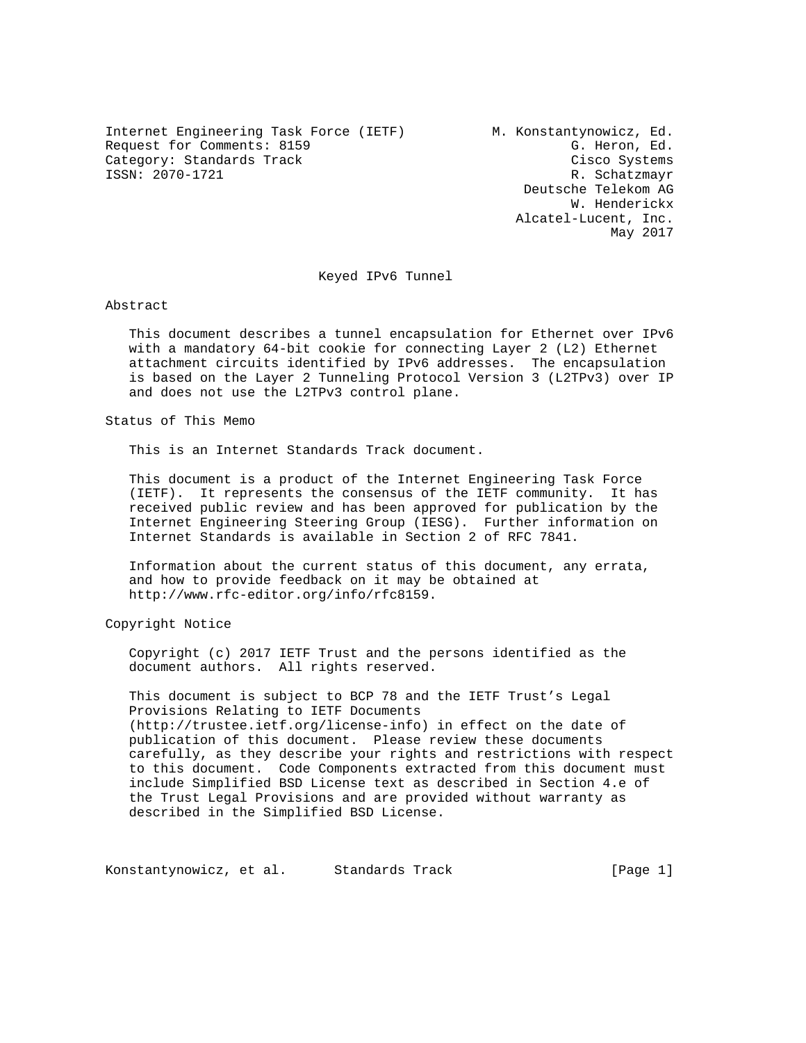Internet Engineering Task Force (IETF) M. Konstantynowicz, Ed. Request for Comments: 8159 G. Heron, Ed. Category: Standards Track Cisco Systems<br>
SSN: 2070-1721<br>
R. Schatzmavr

R. Schatzmayr Deutsche Telekom AG W. Henderickx Alcatel-Lucent, Inc. May 2017

Keyed IPv6 Tunnel

Abstract

 This document describes a tunnel encapsulation for Ethernet over IPv6 with a mandatory 64-bit cookie for connecting Layer 2 (L2) Ethernet attachment circuits identified by IPv6 addresses. The encapsulation is based on the Layer 2 Tunneling Protocol Version 3 (L2TPv3) over IP and does not use the L2TPv3 control plane.

Status of This Memo

This is an Internet Standards Track document.

 This document is a product of the Internet Engineering Task Force (IETF). It represents the consensus of the IETF community. It has received public review and has been approved for publication by the Internet Engineering Steering Group (IESG). Further information on Internet Standards is available in Section 2 of RFC 7841.

 Information about the current status of this document, any errata, and how to provide feedback on it may be obtained at http://www.rfc-editor.org/info/rfc8159.

Copyright Notice

 Copyright (c) 2017 IETF Trust and the persons identified as the document authors. All rights reserved.

 This document is subject to BCP 78 and the IETF Trust's Legal Provisions Relating to IETF Documents (http://trustee.ietf.org/license-info) in effect on the date of publication of this document. Please review these documents carefully, as they describe your rights and restrictions with respect to this document. Code Components extracted from this document must include Simplified BSD License text as described in Section 4.e of the Trust Legal Provisions and are provided without warranty as described in the Simplified BSD License.

Konstantynowicz, et al. Standards Track and [Page 1]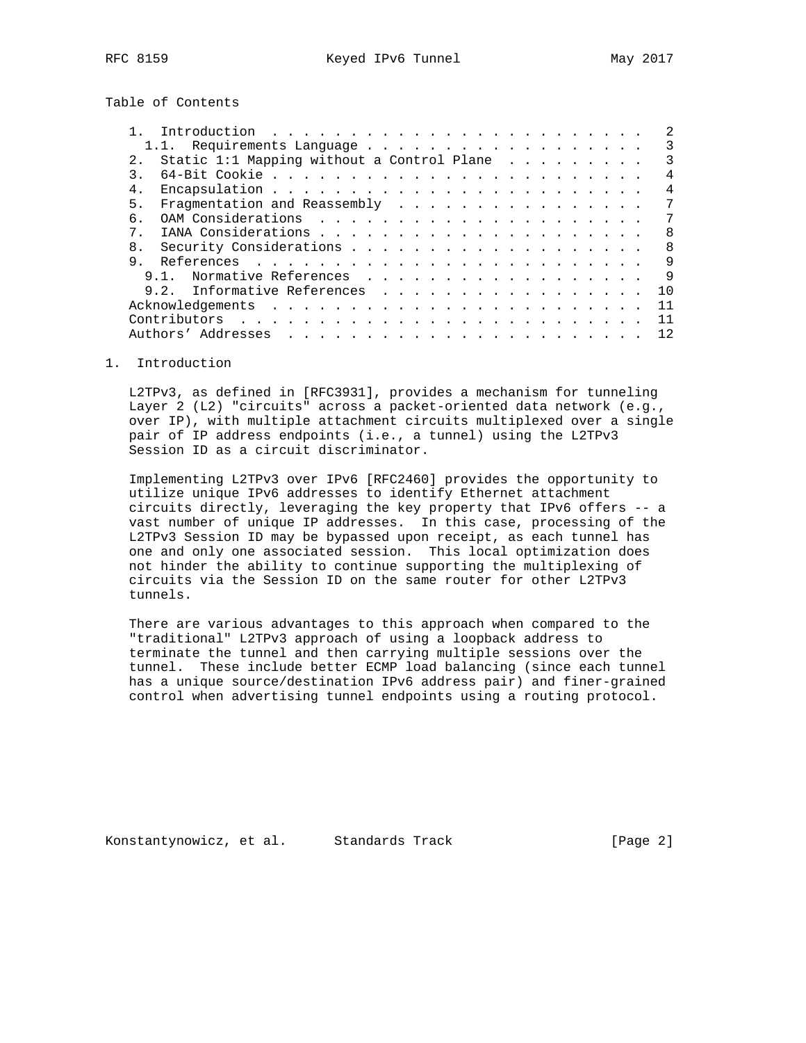Table of Contents

| 1.1. Requirements Language                         |  | 3   |
|----------------------------------------------------|--|-----|
| Static 1:1 Mapping without a Control Plane $\dots$ |  | 3   |
|                                                    |  | 4   |
| 4.                                                 |  | 4   |
| Fragmentation and Reassembly<br>5.                 |  |     |
| б.                                                 |  | 7   |
| 7                                                  |  | 8   |
| 8.                                                 |  | 8   |
| 9                                                  |  | 9   |
| Normative References<br>9 1                        |  | 9   |
| 9.2. Informative References                        |  | 1 O |
|                                                    |  | 11  |
|                                                    |  |     |
| Authors' Addresses                                 |  | 12. |

### 1. Introduction

 L2TPv3, as defined in [RFC3931], provides a mechanism for tunneling Layer 2 (L2) "circuits" across a packet-oriented data network (e.g., over IP), with multiple attachment circuits multiplexed over a single pair of IP address endpoints (i.e., a tunnel) using the L2TPv3 Session ID as a circuit discriminator.

 Implementing L2TPv3 over IPv6 [RFC2460] provides the opportunity to utilize unique IPv6 addresses to identify Ethernet attachment circuits directly, leveraging the key property that IPv6 offers -- a vast number of unique IP addresses. In this case, processing of the L2TPv3 Session ID may be bypassed upon receipt, as each tunnel has one and only one associated session. This local optimization does not hinder the ability to continue supporting the multiplexing of circuits via the Session ID on the same router for other L2TPv3 tunnels.

 There are various advantages to this approach when compared to the "traditional" L2TPv3 approach of using a loopback address to terminate the tunnel and then carrying multiple sessions over the tunnel. These include better ECMP load balancing (since each tunnel has a unique source/destination IPv6 address pair) and finer-grained control when advertising tunnel endpoints using a routing protocol.

Konstantynowicz, et al. Standards Track [Page 2]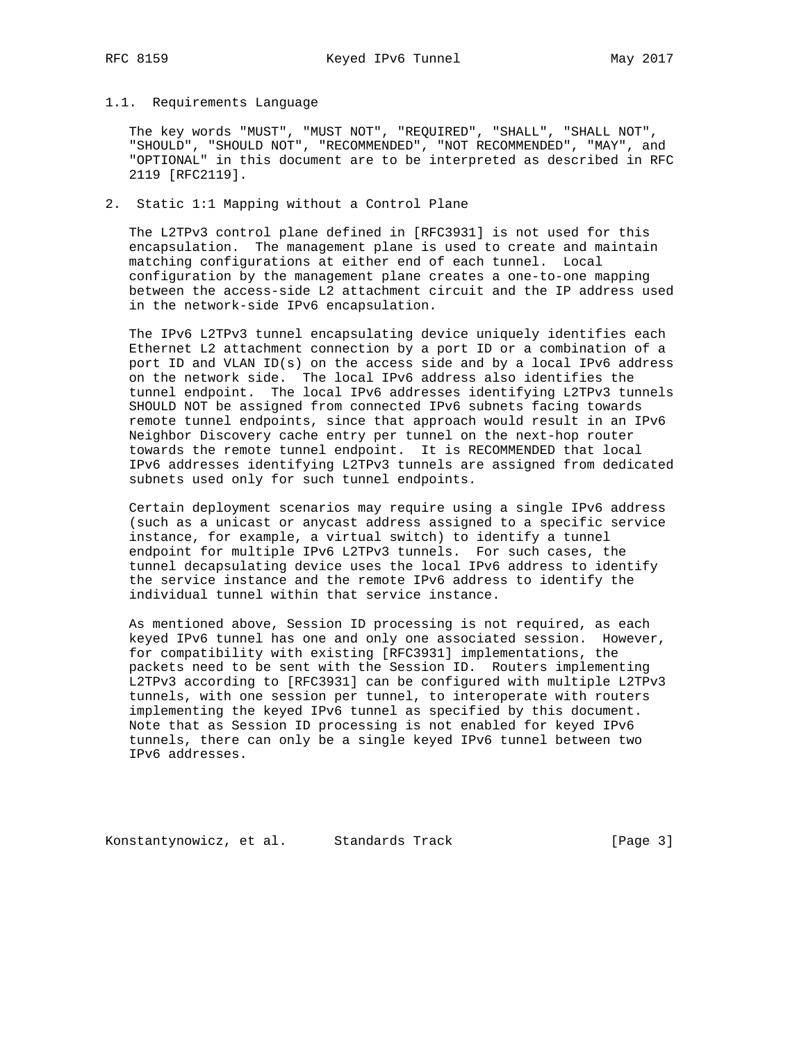## 1.1. Requirements Language

 The key words "MUST", "MUST NOT", "REQUIRED", "SHALL", "SHALL NOT", "SHOULD", "SHOULD NOT", "RECOMMENDED", "NOT RECOMMENDED", "MAY", and "OPTIONAL" in this document are to be interpreted as described in RFC 2119 [RFC2119].

## 2. Static 1:1 Mapping without a Control Plane

 The L2TPv3 control plane defined in [RFC3931] is not used for this encapsulation. The management plane is used to create and maintain matching configurations at either end of each tunnel. Local configuration by the management plane creates a one-to-one mapping between the access-side L2 attachment circuit and the IP address used in the network-side IPv6 encapsulation.

 The IPv6 L2TPv3 tunnel encapsulating device uniquely identifies each Ethernet L2 attachment connection by a port ID or a combination of a port ID and VLAN ID(s) on the access side and by a local IPv6 address on the network side. The local IPv6 address also identifies the tunnel endpoint. The local IPv6 addresses identifying L2TPv3 tunnels SHOULD NOT be assigned from connected IPv6 subnets facing towards remote tunnel endpoints, since that approach would result in an IPv6 Neighbor Discovery cache entry per tunnel on the next-hop router towards the remote tunnel endpoint. It is RECOMMENDED that local IPv6 addresses identifying L2TPv3 tunnels are assigned from dedicated subnets used only for such tunnel endpoints.

 Certain deployment scenarios may require using a single IPv6 address (such as a unicast or anycast address assigned to a specific service instance, for example, a virtual switch) to identify a tunnel endpoint for multiple IPv6 L2TPv3 tunnels. For such cases, the tunnel decapsulating device uses the local IPv6 address to identify the service instance and the remote IPv6 address to identify the individual tunnel within that service instance.

 As mentioned above, Session ID processing is not required, as each keyed IPv6 tunnel has one and only one associated session. However, for compatibility with existing [RFC3931] implementations, the packets need to be sent with the Session ID. Routers implementing L2TPv3 according to [RFC3931] can be configured with multiple L2TPv3 tunnels, with one session per tunnel, to interoperate with routers implementing the keyed IPv6 tunnel as specified by this document. Note that as Session ID processing is not enabled for keyed IPv6 tunnels, there can only be a single keyed IPv6 tunnel between two IPv6 addresses.

Konstantynowicz, et al. Standards Track [Page 3]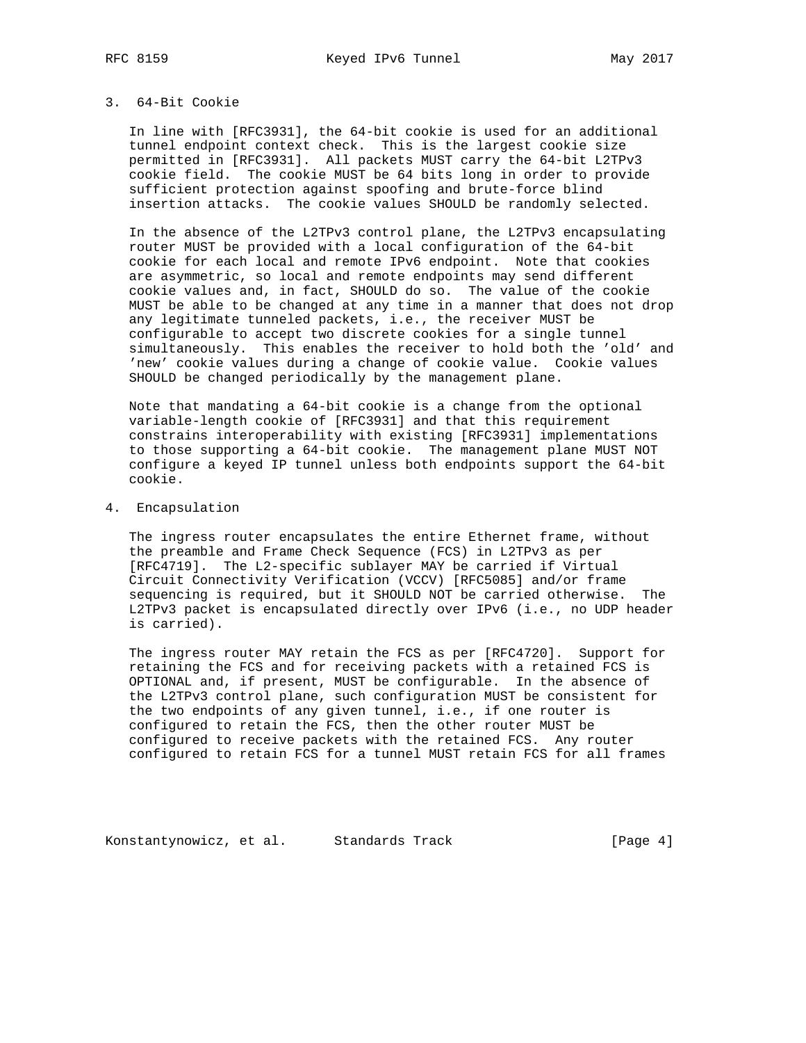## 3. 64-Bit Cookie

 In line with [RFC3931], the 64-bit cookie is used for an additional tunnel endpoint context check. This is the largest cookie size permitted in [RFC3931]. All packets MUST carry the 64-bit L2TPv3 cookie field. The cookie MUST be 64 bits long in order to provide sufficient protection against spoofing and brute-force blind insertion attacks. The cookie values SHOULD be randomly selected.

 In the absence of the L2TPv3 control plane, the L2TPv3 encapsulating router MUST be provided with a local configuration of the 64-bit cookie for each local and remote IPv6 endpoint. Note that cookies are asymmetric, so local and remote endpoints may send different cookie values and, in fact, SHOULD do so. The value of the cookie MUST be able to be changed at any time in a manner that does not drop any legitimate tunneled packets, i.e., the receiver MUST be configurable to accept two discrete cookies for a single tunnel simultaneously. This enables the receiver to hold both the 'old' and 'new' cookie values during a change of cookie value. Cookie values SHOULD be changed periodically by the management plane.

 Note that mandating a 64-bit cookie is a change from the optional variable-length cookie of [RFC3931] and that this requirement constrains interoperability with existing [RFC3931] implementations to those supporting a 64-bit cookie. The management plane MUST NOT configure a keyed IP tunnel unless both endpoints support the 64-bit cookie.

4. Encapsulation

 The ingress router encapsulates the entire Ethernet frame, without the preamble and Frame Check Sequence (FCS) in L2TPv3 as per [RFC4719]. The L2-specific sublayer MAY be carried if Virtual Circuit Connectivity Verification (VCCV) [RFC5085] and/or frame sequencing is required, but it SHOULD NOT be carried otherwise. The L2TPv3 packet is encapsulated directly over IPv6 (i.e., no UDP header is carried).

 The ingress router MAY retain the FCS as per [RFC4720]. Support for retaining the FCS and for receiving packets with a retained FCS is OPTIONAL and, if present, MUST be configurable. In the absence of the L2TPv3 control plane, such configuration MUST be consistent for the two endpoints of any given tunnel, i.e., if one router is configured to retain the FCS, then the other router MUST be configured to receive packets with the retained FCS. Any router configured to retain FCS for a tunnel MUST retain FCS for all frames

Konstantynowicz, et al. Standards Track [Page 4]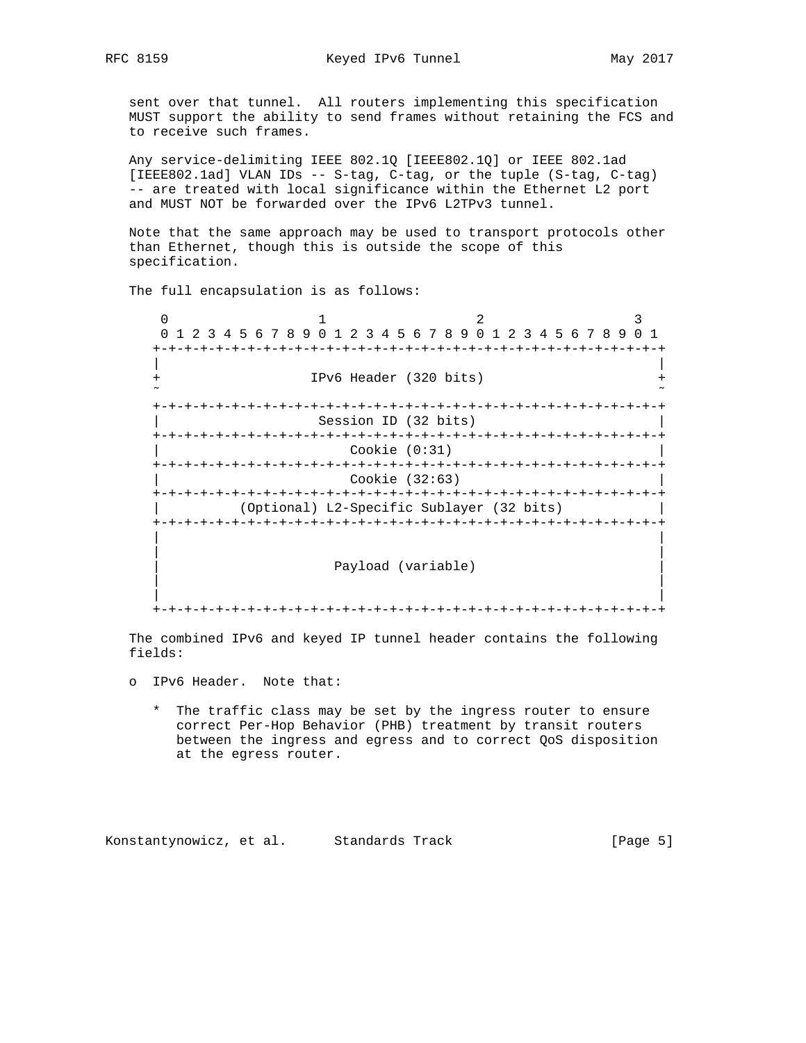sent over that tunnel. All routers implementing this specification MUST support the ability to send frames without retaining the FCS and to receive such frames.

 Any service-delimiting IEEE 802.1Q [IEEE802.1Q] or IEEE 802.1ad [IEEE802.1ad] VLAN IDs -- S-tag, C-tag, or the tuple (S-tag, C-tag) -- are treated with local significance within the Ethernet L2 port and MUST NOT be forwarded over the IPv6 L2TPv3 tunnel.

 Note that the same approach may be used to transport protocols other than Ethernet, though this is outside the scope of this specification.

The full encapsulation is as follows:

 $0$  1 2 3 0 1 2 3 4 5 6 7 8 9 0 1 2 3 4 5 6 7 8 9 0 1 2 3 4 5 6 7 8 9 0 1 +-+-+-+-+-+-+-+-+-+-+-+-+-+-+-+-+-+-+-+-+-+-+-+-+-+-+-+-+-+-+-+-+ | | IPv6 Header (320 bits) ˜ ˜ +-+-+-+-+-+-+-+-+-+-+-+-+-+-+-+-+-+-+-+-+-+-+-+-+-+-+-+-+-+-+-+-+ Session ID (32 bits) +-+-+-+-+-+-+-+-+-+-+-+-+-+-+-+-+-+-+-+-+-+-+-+-+-+-+-+-+-+-+-+-+ | Cookie (0:31) | +-+-+-+-+-+-+-+-+-+-+-+-+-+-+-+-+-+-+-+-+-+-+-+-+-+-+-+-+-+-+-+-+ | Cookie (32:63) | +-+-+-+-+-+-+-+-+-+-+-+-+-+-+-+-+-+-+-+-+-+-+-+-+-+-+-+-+-+-+-+-+ | (Optional) L2-Specific Sublayer (32 bits) | +-+-+-+-+-+-+-+-+-+-+-+-+-+-+-+-+-+-+-+-+-+-+-+-+-+-+-+-+-+-+-+-+ | | | | Payload (variable) | | | |

+-+-+-+-+-+-+-+-+-+-+-+-+-+-+-+-+-+-+-+-+-+-+-+-+-+-+-+-+-+-+-+-+

 The combined IPv6 and keyed IP tunnel header contains the following fields:

- o IPv6 Header. Note that:
	- \* The traffic class may be set by the ingress router to ensure correct Per-Hop Behavior (PHB) treatment by transit routers between the ingress and egress and to correct QoS disposition at the egress router.

Konstantynowicz, et al. Standards Track [Page 5]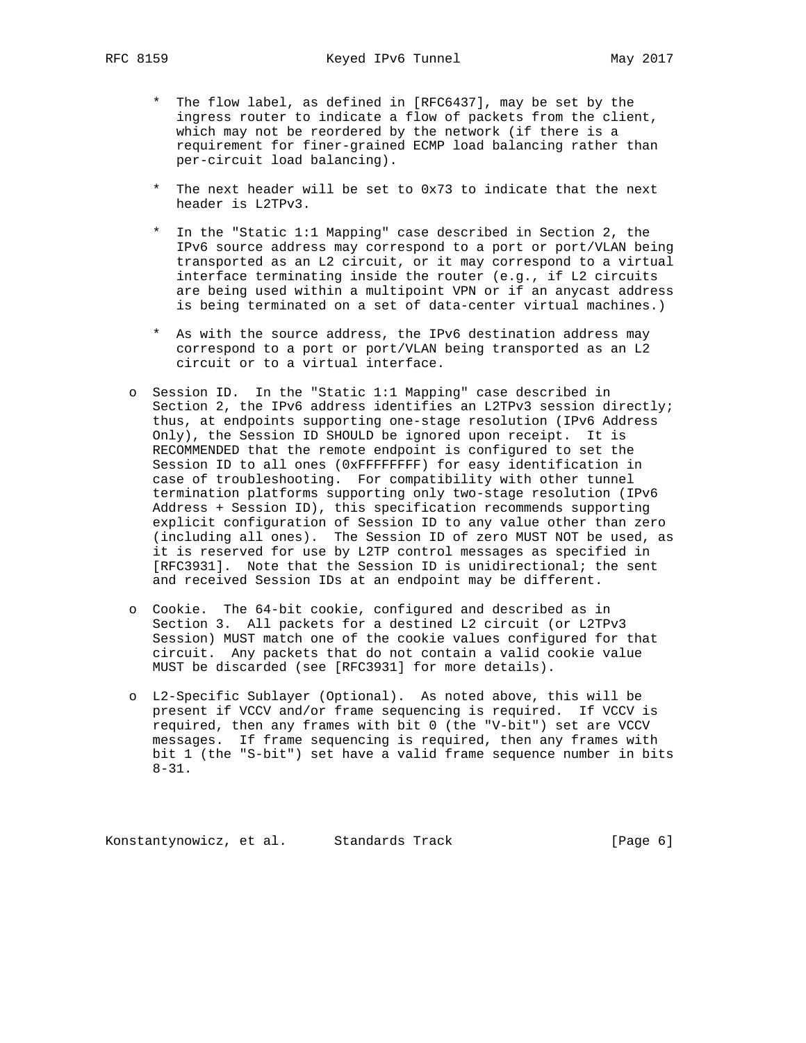- \* The flow label, as defined in [RFC6437], may be set by the ingress router to indicate a flow of packets from the client, which may not be reordered by the network (if there is a requirement for finer-grained ECMP load balancing rather than per-circuit load balancing).
- \* The next header will be set to 0x73 to indicate that the next header is L2TPv3.
- \* In the "Static 1:1 Mapping" case described in Section 2, the IPv6 source address may correspond to a port or port/VLAN being transported as an L2 circuit, or it may correspond to a virtual interface terminating inside the router (e.g., if L2 circuits are being used within a multipoint VPN or if an anycast address is being terminated on a set of data-center virtual machines.)
- \* As with the source address, the IPv6 destination address may correspond to a port or port/VLAN being transported as an L2 circuit or to a virtual interface.
- o Session ID. In the "Static 1:1 Mapping" case described in Section 2, the IPv6 address identifies an L2TPv3 session directly; thus, at endpoints supporting one-stage resolution (IPv6 Address Only), the Session ID SHOULD be ignored upon receipt. It is RECOMMENDED that the remote endpoint is configured to set the Session ID to all ones (0xFFFFFFFF) for easy identification in case of troubleshooting. For compatibility with other tunnel termination platforms supporting only two-stage resolution (IPv6 Address + Session ID), this specification recommends supporting explicit configuration of Session ID to any value other than zero (including all ones). The Session ID of zero MUST NOT be used, as it is reserved for use by L2TP control messages as specified in [RFC3931]. Note that the Session ID is unidirectional; the sent and received Session IDs at an endpoint may be different.
- o Cookie. The 64-bit cookie, configured and described as in Section 3. All packets for a destined L2 circuit (or L2TPv3 Session) MUST match one of the cookie values configured for that circuit. Any packets that do not contain a valid cookie value MUST be discarded (see [RFC3931] for more details).
- o L2-Specific Sublayer (Optional). As noted above, this will be present if VCCV and/or frame sequencing is required. If VCCV is required, then any frames with bit 0 (the "V-bit") set are VCCV messages. If frame sequencing is required, then any frames with bit 1 (the "S-bit") set have a valid frame sequence number in bits 8-31.

Konstantynowicz, et al. Standards Track [Page 6]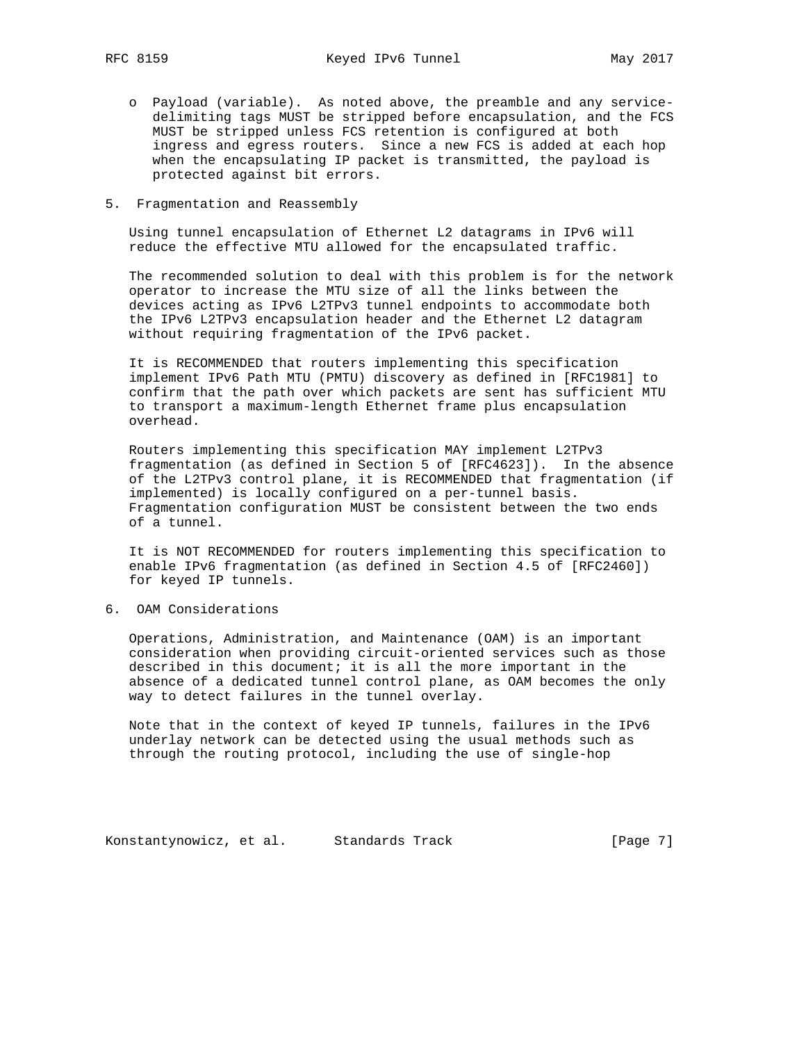- o Payload (variable). As noted above, the preamble and any service delimiting tags MUST be stripped before encapsulation, and the FCS MUST be stripped unless FCS retention is configured at both ingress and egress routers. Since a new FCS is added at each hop when the encapsulating IP packet is transmitted, the payload is protected against bit errors.
- 5. Fragmentation and Reassembly

 Using tunnel encapsulation of Ethernet L2 datagrams in IPv6 will reduce the effective MTU allowed for the encapsulated traffic.

 The recommended solution to deal with this problem is for the network operator to increase the MTU size of all the links between the devices acting as IPv6 L2TPv3 tunnel endpoints to accommodate both the IPv6 L2TPv3 encapsulation header and the Ethernet L2 datagram without requiring fragmentation of the IPv6 packet.

 It is RECOMMENDED that routers implementing this specification implement IPv6 Path MTU (PMTU) discovery as defined in [RFC1981] to confirm that the path over which packets are sent has sufficient MTU to transport a maximum-length Ethernet frame plus encapsulation overhead.

 Routers implementing this specification MAY implement L2TPv3 fragmentation (as defined in Section 5 of [RFC4623]). In the absence of the L2TPv3 control plane, it is RECOMMENDED that fragmentation (if implemented) is locally configured on a per-tunnel basis. Fragmentation configuration MUST be consistent between the two ends of a tunnel.

 It is NOT RECOMMENDED for routers implementing this specification to enable IPv6 fragmentation (as defined in Section 4.5 of [RFC2460]) for keyed IP tunnels.

6. OAM Considerations

 Operations, Administration, and Maintenance (OAM) is an important consideration when providing circuit-oriented services such as those described in this document; it is all the more important in the absence of a dedicated tunnel control plane, as OAM becomes the only way to detect failures in the tunnel overlay.

 Note that in the context of keyed IP tunnels, failures in the IPv6 underlay network can be detected using the usual methods such as through the routing protocol, including the use of single-hop

Konstantynowicz, et al. Standards Track [Page 7]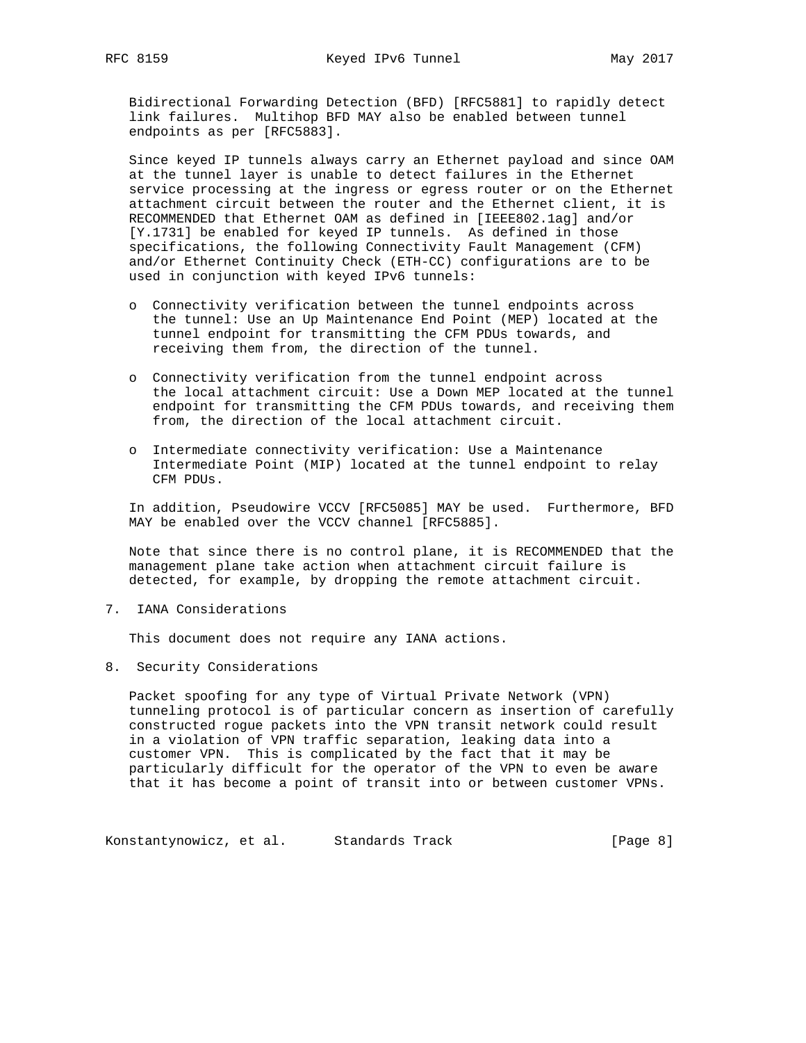Bidirectional Forwarding Detection (BFD) [RFC5881] to rapidly detect link failures. Multihop BFD MAY also be enabled between tunnel endpoints as per [RFC5883].

 Since keyed IP tunnels always carry an Ethernet payload and since OAM at the tunnel layer is unable to detect failures in the Ethernet service processing at the ingress or egress router or on the Ethernet attachment circuit between the router and the Ethernet client, it is RECOMMENDED that Ethernet OAM as defined in [IEEE802.1ag] and/or [Y.1731] be enabled for keyed IP tunnels. As defined in those specifications, the following Connectivity Fault Management (CFM) and/or Ethernet Continuity Check (ETH-CC) configurations are to be used in conjunction with keyed IPv6 tunnels:

- o Connectivity verification between the tunnel endpoints across the tunnel: Use an Up Maintenance End Point (MEP) located at the tunnel endpoint for transmitting the CFM PDUs towards, and receiving them from, the direction of the tunnel.
- o Connectivity verification from the tunnel endpoint across the local attachment circuit: Use a Down MEP located at the tunnel endpoint for transmitting the CFM PDUs towards, and receiving them from, the direction of the local attachment circuit.
- o Intermediate connectivity verification: Use a Maintenance Intermediate Point (MIP) located at the tunnel endpoint to relay CFM PDUs.

 In addition, Pseudowire VCCV [RFC5085] MAY be used. Furthermore, BFD MAY be enabled over the VCCV channel [RFC5885].

 Note that since there is no control plane, it is RECOMMENDED that the management plane take action when attachment circuit failure is detected, for example, by dropping the remote attachment circuit.

7. IANA Considerations

This document does not require any IANA actions.

8. Security Considerations

 Packet spoofing for any type of Virtual Private Network (VPN) tunneling protocol is of particular concern as insertion of carefully constructed rogue packets into the VPN transit network could result in a violation of VPN traffic separation, leaking data into a customer VPN. This is complicated by the fact that it may be particularly difficult for the operator of the VPN to even be aware that it has become a point of transit into or between customer VPNs.

Konstantynowicz, et al. Standards Track and The Rage 8]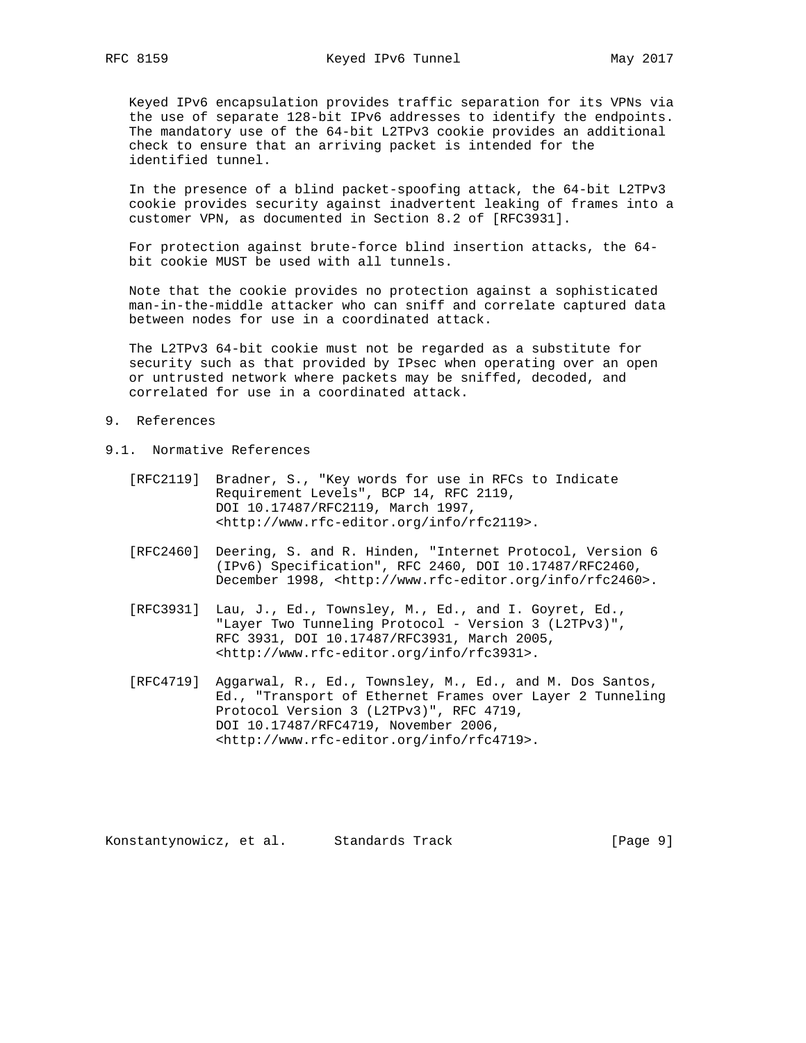Keyed IPv6 encapsulation provides traffic separation for its VPNs via the use of separate 128-bit IPv6 addresses to identify the endpoints. The mandatory use of the 64-bit L2TPv3 cookie provides an additional check to ensure that an arriving packet is intended for the identified tunnel.

 In the presence of a blind packet-spoofing attack, the 64-bit L2TPv3 cookie provides security against inadvertent leaking of frames into a customer VPN, as documented in Section 8.2 of [RFC3931].

 For protection against brute-force blind insertion attacks, the 64 bit cookie MUST be used with all tunnels.

 Note that the cookie provides no protection against a sophisticated man-in-the-middle attacker who can sniff and correlate captured data between nodes for use in a coordinated attack.

 The L2TPv3 64-bit cookie must not be regarded as a substitute for security such as that provided by IPsec when operating over an open or untrusted network where packets may be sniffed, decoded, and correlated for use in a coordinated attack.

- 9. References
- 9.1. Normative References
	- [RFC2119] Bradner, S., "Key words for use in RFCs to Indicate Requirement Levels", BCP 14, RFC 2119, DOI 10.17487/RFC2119, March 1997, <http://www.rfc-editor.org/info/rfc2119>.
	- [RFC2460] Deering, S. and R. Hinden, "Internet Protocol, Version 6 (IPv6) Specification", RFC 2460, DOI 10.17487/RFC2460, December 1998, <http://www.rfc-editor.org/info/rfc2460>.
	- [RFC3931] Lau, J., Ed., Townsley, M., Ed., and I. Goyret, Ed., "Layer Two Tunneling Protocol - Version 3 (L2TPv3)", RFC 3931, DOI 10.17487/RFC3931, March 2005, <http://www.rfc-editor.org/info/rfc3931>.
	- [RFC4719] Aggarwal, R., Ed., Townsley, M., Ed., and M. Dos Santos, Ed., "Transport of Ethernet Frames over Layer 2 Tunneling Protocol Version 3 (L2TPv3)", RFC 4719, DOI 10.17487/RFC4719, November 2006, <http://www.rfc-editor.org/info/rfc4719>.

Konstantynowicz, et al. Standards Track [Page 9]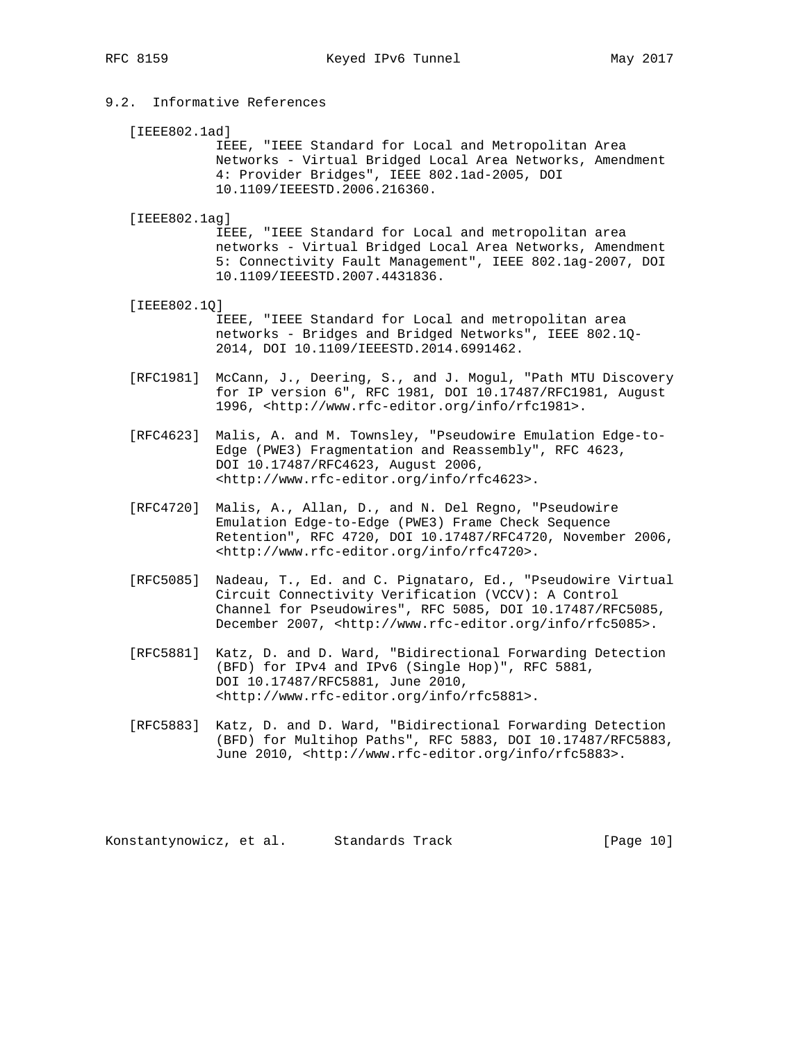# 9.2. Informative References

[IEEE802.1ad]

 IEEE, "IEEE Standard for Local and Metropolitan Area Networks - Virtual Bridged Local Area Networks, Amendment 4: Provider Bridges", IEEE 802.1ad-2005, DOI 10.1109/IEEESTD.2006.216360.

[IEEE802.1ag]

 IEEE, "IEEE Standard for Local and metropolitan area networks - Virtual Bridged Local Area Networks, Amendment 5: Connectivity Fault Management", IEEE 802.1ag-2007, DOI 10.1109/IEEESTD.2007.4431836.

- [IEEE802.1Q] IEEE, "IEEE Standard for Local and metropolitan area networks - Bridges and Bridged Networks", IEEE 802.1Q- 2014, DOI 10.1109/IEEESTD.2014.6991462.
- [RFC1981] McCann, J., Deering, S., and J. Mogul, "Path MTU Discovery for IP version 6", RFC 1981, DOI 10.17487/RFC1981, August 1996, <http://www.rfc-editor.org/info/rfc1981>.
- [RFC4623] Malis, A. and M. Townsley, "Pseudowire Emulation Edge-to- Edge (PWE3) Fragmentation and Reassembly", RFC 4623, DOI 10.17487/RFC4623, August 2006, <http://www.rfc-editor.org/info/rfc4623>.
- [RFC4720] Malis, A., Allan, D., and N. Del Regno, "Pseudowire Emulation Edge-to-Edge (PWE3) Frame Check Sequence Retention", RFC 4720, DOI 10.17487/RFC4720, November 2006, <http://www.rfc-editor.org/info/rfc4720>.
- [RFC5085] Nadeau, T., Ed. and C. Pignataro, Ed., "Pseudowire Virtual Circuit Connectivity Verification (VCCV): A Control Channel for Pseudowires", RFC 5085, DOI 10.17487/RFC5085, December 2007, <http://www.rfc-editor.org/info/rfc5085>.
- [RFC5881] Katz, D. and D. Ward, "Bidirectional Forwarding Detection (BFD) for IPv4 and IPv6 (Single Hop)", RFC 5881, DOI 10.17487/RFC5881, June 2010, <http://www.rfc-editor.org/info/rfc5881>.
- [RFC5883] Katz, D. and D. Ward, "Bidirectional Forwarding Detection (BFD) for Multihop Paths", RFC 5883, DOI 10.17487/RFC5883, June 2010, <http://www.rfc-editor.org/info/rfc5883>.

Konstantynowicz, et al. Standards Track [Page 10]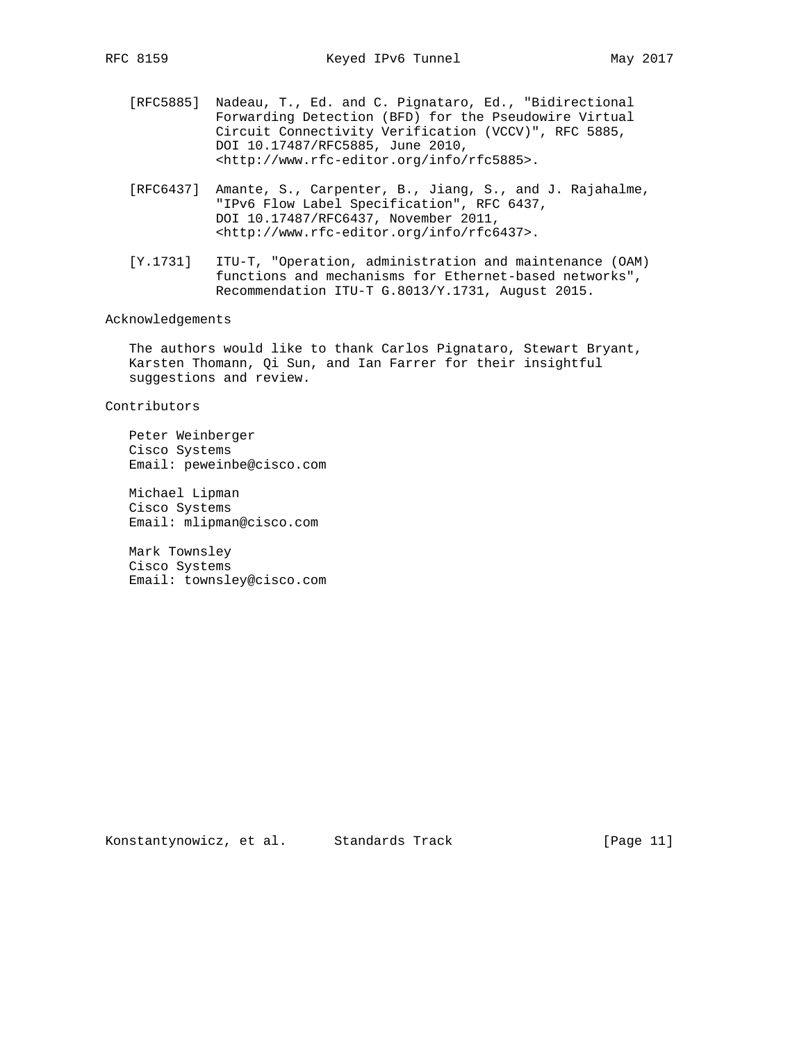- [RFC5885] Nadeau, T., Ed. and C. Pignataro, Ed., "Bidirectional Forwarding Detection (BFD) for the Pseudowire Virtual Circuit Connectivity Verification (VCCV)", RFC 5885, DOI 10.17487/RFC5885, June 2010, <http://www.rfc-editor.org/info/rfc5885>.
- [RFC6437] Amante, S., Carpenter, B., Jiang, S., and J. Rajahalme, "IPv6 Flow Label Specification", RFC 6437, DOI 10.17487/RFC6437, November 2011, <http://www.rfc-editor.org/info/rfc6437>.
- [Y.1731] ITU-T, "Operation, administration and maintenance (OAM) functions and mechanisms for Ethernet-based networks", Recommendation ITU-T G.8013/Y.1731, August 2015.

# Acknowledgements

 The authors would like to thank Carlos Pignataro, Stewart Bryant, Karsten Thomann, Qi Sun, and Ian Farrer for their insightful suggestions and review.

### Contributors

 Peter Weinberger Cisco Systems Email: peweinbe@cisco.com

 Michael Lipman Cisco Systems Email: mlipman@cisco.com

 Mark Townsley Cisco Systems Email: townsley@cisco.com

Konstantynowicz, et al. Standards Track [Page 11]